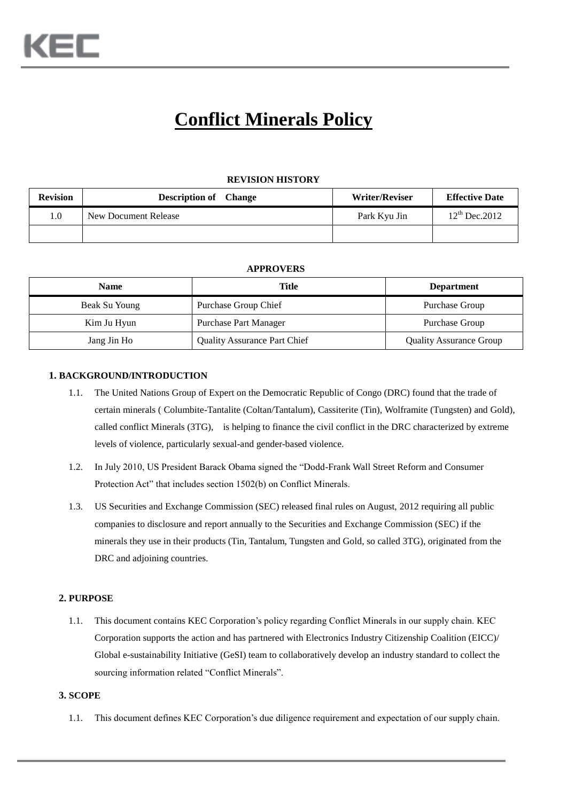# **Conflict Minerals Policy**

#### **REVISION HISTORY**

| <b>Revision</b> | <b>Description of</b> Change | <b>Writer/Reviser</b> | <b>Effective Date</b> |
|-----------------|------------------------------|-----------------------|-----------------------|
| $1.0\,$         | New Document Release         | Park Kyu Jin          | $12^{th}$ Dec. 2012   |
|                 |                              |                       |                       |

#### **APPROVERS**

| <b>Name</b>   | Title                               | <b>Department</b>              |
|---------------|-------------------------------------|--------------------------------|
| Beak Su Young | Purchase Group Chief                | Purchase Group                 |
| Kim Ju Hyun   | <b>Purchase Part Manager</b>        | Purchase Group                 |
| Jang Jin Ho   | <b>Quality Assurance Part Chief</b> | <b>Quality Assurance Group</b> |

#### **1. BACKGROUND/INTRODUCTION**

- 1.1. The United Nations Group of Expert on the Democratic Republic of Congo (DRC) found that the trade of certain minerals ( Columbite-Tantalite (Coltan/Tantalum), Cassiterite (Tin), Wolframite (Tungsten) and Gold), called conflict Minerals (3TG), is helping to finance the civil conflict in the DRC characterized by extreme levels of violence, particularly sexual-and gender-based violence.
- 1.2. In July 2010, US President Barack Obama signed the "Dodd-Frank Wall Street Reform and Consumer Protection Act" that includes section 1502(b) on Conflict Minerals.
- 1.3. US Securities and Exchange Commission (SEC) released final rules on August, 2012 requiring all public companies to disclosure and report annually to the Securities and Exchange Commission (SEC) if the minerals they use in their products (Tin, Tantalum, Tungsten and Gold, so called 3TG), originated from the DRC and adjoining countries.

#### **2. PURPOSE**

1.1. This document contains KEC Corporation's policy regarding Conflict Minerals in our supply chain. KEC Corporation supports the action and has partnered with Electronics Industry Citizenship Coalition (EICC)/ Global e-sustainability Initiative (GeSI) team to collaboratively develop an industry standard to collect the sourcing information related "Conflict Minerals".

#### **3. SCOPE**

1.1. This document defines KEC Corporation's due diligence requirement and expectation of our supply chain.